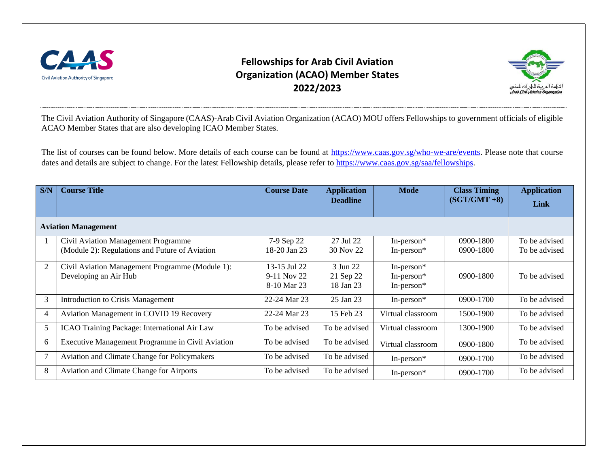

## **Fellowships for Arab Civil Aviation Organization (ACAO) Member States 2022/2023**



The Civil Aviation Authority of Singapore (CAAS)-Arab Civil Aviation Organization (ACAO) MOU offers Fellowships to government officials of eligible ACAO Member States that are also developing ICAO Member States.

The list of courses can be found below. More details of each course can be found at [https://www.caas.gov.sg/who-we-are/events.](https://www.caas.gov.sg/who-we-are/events) Please note that course dates and details are subject to change. For the latest Fellowship details, please refer to [https://www.caas.gov.sg/saa/fellowships.](https://www.caas.gov.sg/saa/fellowships)

| S/N                        | <b>Course Title</b>                                                                   | <b>Course Date</b>                         | <b>Application</b><br><b>Deadline</b> | <b>Mode</b>                                     | <b>Class Timing</b><br>$(SGT/GMT + 8)$ | <b>Application</b><br>Link     |  |
|----------------------------|---------------------------------------------------------------------------------------|--------------------------------------------|---------------------------------------|-------------------------------------------------|----------------------------------------|--------------------------------|--|
| <b>Aviation Management</b> |                                                                                       |                                            |                                       |                                                 |                                        |                                |  |
|                            | Civil Aviation Management Programme<br>(Module 2): Regulations and Future of Aviation | 7-9 Sep 22<br>18-20 Jan 23                 | 27 Jul 22<br>30 Nov 22                | In-person $*$<br>In-person*                     | $0900 - 1800$<br>$0900 - 1800$         | To be advised<br>To be advised |  |
| 2                          | Civil Aviation Management Programme (Module 1):<br>Developing an Air Hub              | 13-15 Jul 22<br>9-11 Nov 22<br>8-10 Mar 23 | 3 Jun 22<br>21 Sep 22<br>18 Jan 23    | In-person $*$<br>In-person $*$<br>In-person $*$ | $0900 - 1800$                          | To be advised                  |  |
| 3                          | <b>Introduction to Crisis Management</b>                                              | 22-24 Mar 23                               | 25 Jan 23                             | In-person $*$                                   | 0900-1700                              | To be advised                  |  |
| $\overline{4}$             | Aviation Management in COVID 19 Recovery                                              | 22-24 Mar 23                               | 15 Feb 23                             | Virtual classroom                               | 1500-1900                              | To be advised                  |  |
| 5                          | ICAO Training Package: International Air Law                                          | To be advised                              | To be advised                         | Virtual classroom                               | 1300-1900                              | To be advised                  |  |
| 6                          | Executive Management Programme in Civil Aviation                                      | To be advised                              | To be advised                         | Virtual classroom                               | 0900-1800                              | To be advised                  |  |
| $7\phantom{.0}$            | Aviation and Climate Change for Policymakers                                          | To be advised                              | To be advised                         | In-person $*$                                   | 0900-1700                              | To be advised                  |  |
| 8                          | Aviation and Climate Change for Airports                                              | To be advised                              | To be advised                         | In-person $*$                                   | 0900-1700                              | To be advised                  |  |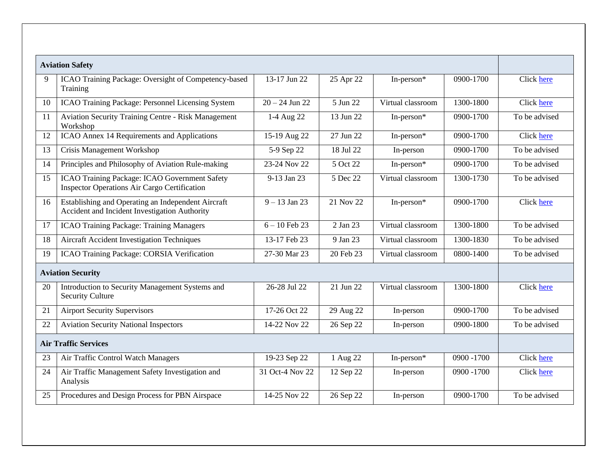|                             | <b>Aviation Safety</b>                                                                               |                                 |           |                   |            |               |
|-----------------------------|------------------------------------------------------------------------------------------------------|---------------------------------|-----------|-------------------|------------|---------------|
| 9                           | ICAO Training Package: Oversight of Competency-based<br>Training                                     | 13-17 Jun 22                    | 25 Apr 22 | In-person*        | 0900-1700  | Click here    |
| 10                          | ICAO Training Package: Personnel Licensing System                                                    | $20 - 24$ Jun 22                | 5 Jun 22  | Virtual classroom | 1300-1800  | Click here    |
| 11                          | <b>Aviation Security Training Centre - Risk Management</b><br>Workshop                               | 1-4 Aug 22                      | 13 Jun 22 | In-person*        | 0900-1700  | To be advised |
| 12                          | ICAO Annex 14 Requirements and Applications                                                          | 15-19 Aug 22                    | 27 Jun 22 | In-person*        | 0900-1700  | Click here    |
| 13                          | Crisis Management Workshop                                                                           | 5-9 Sep 22                      | 18 Jul 22 | In-person         | 0900-1700  | To be advised |
| 14                          | Principles and Philosophy of Aviation Rule-making                                                    | 23-24 Nov 22                    | 5 Oct 22  | In-person*        | 0900-1700  | To be advised |
| 15                          | ICAO Training Package: ICAO Government Safety<br><b>Inspector Operations Air Cargo Certification</b> | 9-13 Jan 23                     | 5 Dec 22  | Virtual classroom | 1300-1730  | To be advised |
| 16                          | Establishing and Operating an Independent Aircraft<br>Accident and Incident Investigation Authority  | $\frac{9 - 13 \text{ Jan}}{23}$ | 21 Nov 22 | In-person*        | 0900-1700  | Click here    |
| 17                          | <b>ICAO Training Package: Training Managers</b>                                                      | $6 - 10$ Feb 23                 | 2 Jan 23  | Virtual classroom | 1300-1800  | To be advised |
| 18                          | <b>Aircraft Accident Investigation Techniques</b>                                                    | 13-17 Feb 23                    | 9 Jan 23  | Virtual classroom | 1300-1830  | To be advised |
| 19                          | ICAO Training Package: CORSIA Verification                                                           | 27-30 Mar 23                    | 20 Feb 23 | Virtual classroom | 0800-1400  | To be advised |
| <b>Aviation Security</b>    |                                                                                                      |                                 |           |                   |            |               |
| 20                          | Introduction to Security Management Systems and<br><b>Security Culture</b>                           | 26-28 Jul 22                    | 21 Jun 22 | Virtual classroom | 1300-1800  | Click here    |
| 21                          | <b>Airport Security Supervisors</b>                                                                  | 17-26 Oct 22                    | 29 Aug 22 | In-person         | 0900-1700  | To be advised |
| 22                          | <b>Aviation Security National Inspectors</b>                                                         | 14-22 Nov 22                    | 26 Sep 22 | In-person         | 0900-1800  | To be advised |
| <b>Air Traffic Services</b> |                                                                                                      |                                 |           |                   |            |               |
| 23                          | Air Traffic Control Watch Managers                                                                   | 19-23 Sep 22                    | 1 Aug 22  | In-person*        | 0900 -1700 | Click here    |
| 24                          | Air Traffic Management Safety Investigation and<br>Analysis                                          | 31 Oct-4 Nov 22                 | 12 Sep 22 | In-person         | 0900 -1700 | Click here    |
| 25                          | Procedures and Design Process for PBN Airspace                                                       | 14-25 Nov 22                    | 26 Sep 22 | In-person         | 0900-1700  | To be advised |